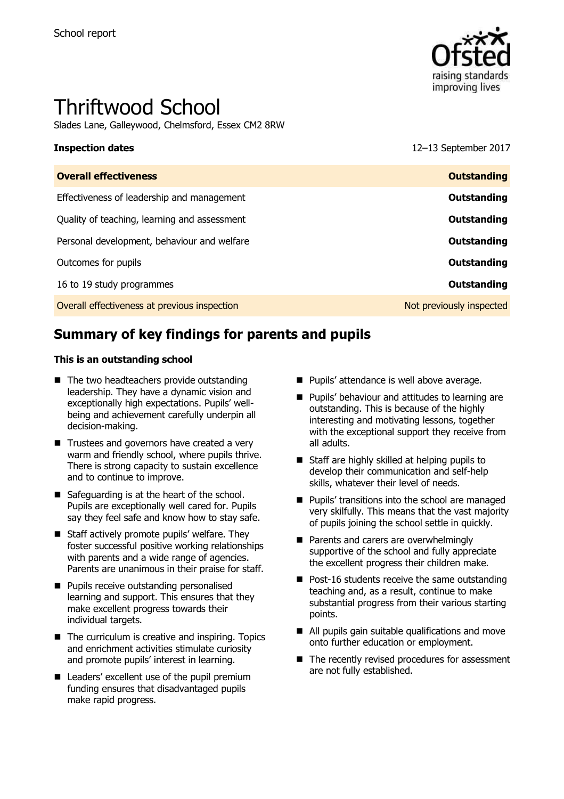

# Thriftwood School

Slades Lane, Galleywood, Chelmsford, Essex CM2 8RW

**Inspection dates** 12–13 September 2017

| <b>Overall effectiveness</b>                 | <b>Outstanding</b>       |
|----------------------------------------------|--------------------------|
| Effectiveness of leadership and management   | Outstanding              |
| Quality of teaching, learning and assessment | Outstanding              |
| Personal development, behaviour and welfare  | Outstanding              |
| Outcomes for pupils                          | Outstanding              |
| 16 to 19 study programmes                    | Outstanding              |
| Overall effectiveness at previous inspection | Not previously inspected |
|                                              |                          |

# **Summary of key findings for parents and pupils**

#### **This is an outstanding school**

- The two headteachers provide outstanding leadership. They have a dynamic vision and exceptionally high expectations. Pupils' wellbeing and achievement carefully underpin all decision-making.
- Trustees and governors have created a very warm and friendly school, where pupils thrive. There is strong capacity to sustain excellence and to continue to improve.
- Safeguarding is at the heart of the school. Pupils are exceptionally well cared for. Pupils say they feel safe and know how to stay safe.
- Staff actively promote pupils' welfare. They foster successful positive working relationships with parents and a wide range of agencies. Parents are unanimous in their praise for staff.
- **Pupils receive outstanding personalised** learning and support. This ensures that they make excellent progress towards their individual targets.
- $\blacksquare$  The curriculum is creative and inspiring. Topics and enrichment activities stimulate curiosity and promote pupils' interest in learning.
- Leaders' excellent use of the pupil premium funding ensures that disadvantaged pupils make rapid progress.
- **Pupils' attendance is well above average.**
- **Pupils' behaviour and attitudes to learning are** outstanding. This is because of the highly interesting and motivating lessons, together with the exceptional support they receive from all adults.
- Staff are highly skilled at helping pupils to develop their communication and self-help skills, whatever their level of needs.
- **Pupils' transitions into the school are managed** very skilfully. This means that the vast majority of pupils joining the school settle in quickly.
- **Parents and carers are overwhelmingly** supportive of the school and fully appreciate the excellent progress their children make.
- $\blacksquare$  Post-16 students receive the same outstanding teaching and, as a result, continue to make substantial progress from their various starting points.
- All pupils gain suitable qualifications and move onto further education or employment.
- The recently revised procedures for assessment are not fully established.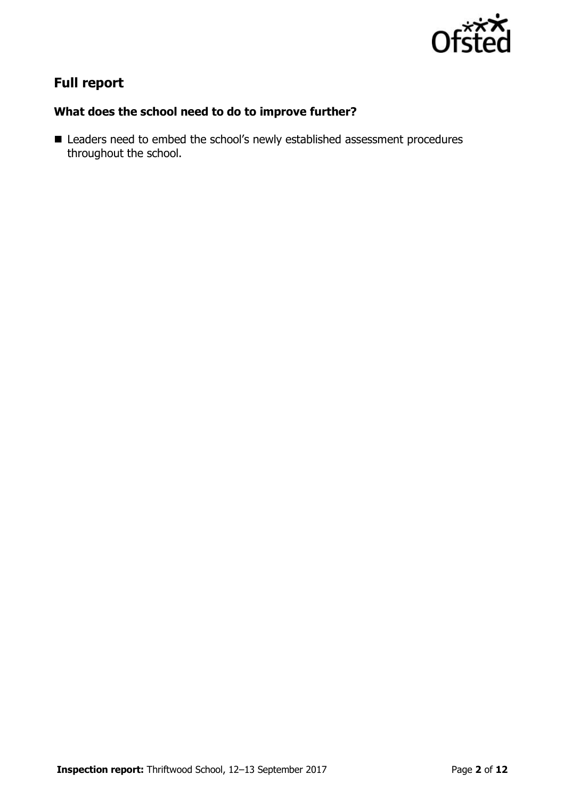

# **Full report**

### **What does the school need to do to improve further?**

■ Leaders need to embed the school's newly established assessment procedures throughout the school.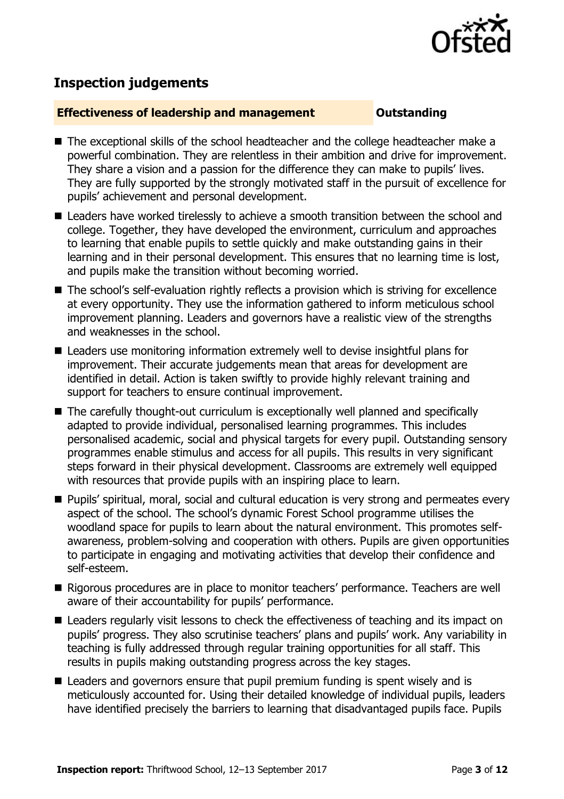

# **Inspection judgements**

### **Effectiveness of leadership and management Cultum Outstanding**

- The exceptional skills of the school headteacher and the college headteacher make a powerful combination. They are relentless in their ambition and drive for improvement. They share a vision and a passion for the difference they can make to pupils' lives. They are fully supported by the strongly motivated staff in the pursuit of excellence for pupils' achievement and personal development.
- Leaders have worked tirelessly to achieve a smooth transition between the school and college. Together, they have developed the environment, curriculum and approaches to learning that enable pupils to settle quickly and make outstanding gains in their learning and in their personal development. This ensures that no learning time is lost, and pupils make the transition without becoming worried.
- The school's self-evaluation rightly reflects a provision which is striving for excellence at every opportunity. They use the information gathered to inform meticulous school improvement planning. Leaders and governors have a realistic view of the strengths and weaknesses in the school.
- Leaders use monitoring information extremely well to devise insightful plans for improvement. Their accurate judgements mean that areas for development are identified in detail. Action is taken swiftly to provide highly relevant training and support for teachers to ensure continual improvement.
- The carefully thought-out curriculum is exceptionally well planned and specifically adapted to provide individual, personalised learning programmes. This includes personalised academic, social and physical targets for every pupil. Outstanding sensory programmes enable stimulus and access for all pupils. This results in very significant steps forward in their physical development. Classrooms are extremely well equipped with resources that provide pupils with an inspiring place to learn.
- **Pupils' spiritual, moral, social and cultural education is very strong and permeates every by a Pupils'** aspect of the school. The school's dynamic Forest School programme utilises the woodland space for pupils to learn about the natural environment. This promotes selfawareness, problem-solving and cooperation with others. Pupils are given opportunities to participate in engaging and motivating activities that develop their confidence and self-esteem.
- Rigorous procedures are in place to monitor teachers' performance. Teachers are well aware of their accountability for pupils' performance.
- Leaders regularly visit lessons to check the effectiveness of teaching and its impact on pupils' progress. They also scrutinise teachers' plans and pupils' work. Any variability in teaching is fully addressed through regular training opportunities for all staff. This results in pupils making outstanding progress across the key stages.
- Leaders and governors ensure that pupil premium funding is spent wisely and is meticulously accounted for. Using their detailed knowledge of individual pupils, leaders have identified precisely the barriers to learning that disadvantaged pupils face. Pupils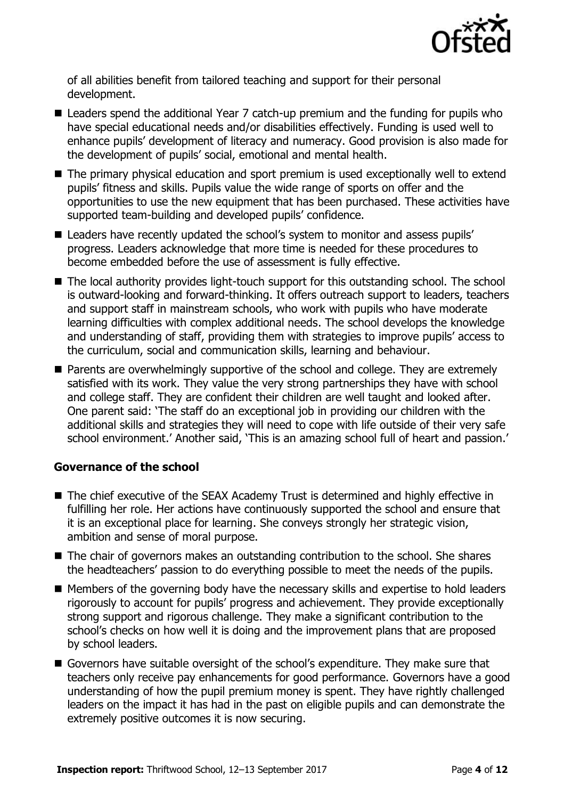

of all abilities benefit from tailored teaching and support for their personal development.

- Leaders spend the additional Year 7 catch-up premium and the funding for pupils who have special educational needs and/or disabilities effectively. Funding is used well to enhance pupils' development of literacy and numeracy. Good provision is also made for the development of pupils' social, emotional and mental health.
- The primary physical education and sport premium is used exceptionally well to extend pupils' fitness and skills. Pupils value the wide range of sports on offer and the opportunities to use the new equipment that has been purchased. These activities have supported team-building and developed pupils' confidence.
- Leaders have recently updated the school's system to monitor and assess pupils' progress. Leaders acknowledge that more time is needed for these procedures to become embedded before the use of assessment is fully effective.
- The local authority provides light-touch support for this outstanding school. The school is outward-looking and forward-thinking. It offers outreach support to leaders, teachers and support staff in mainstream schools, who work with pupils who have moderate learning difficulties with complex additional needs. The school develops the knowledge and understanding of staff, providing them with strategies to improve pupils' access to the curriculum, social and communication skills, learning and behaviour.
- **Parents are overwhelmingly supportive of the school and college. They are extremely** satisfied with its work. They value the very strong partnerships they have with school and college staff. They are confident their children are well taught and looked after. One parent said: 'The staff do an exceptional job in providing our children with the additional skills and strategies they will need to cope with life outside of their very safe school environment.' Another said, 'This is an amazing school full of heart and passion.'

### **Governance of the school**

- The chief executive of the SEAX Academy Trust is determined and highly effective in fulfilling her role. Her actions have continuously supported the school and ensure that it is an exceptional place for learning. She conveys strongly her strategic vision, ambition and sense of moral purpose.
- The chair of governors makes an outstanding contribution to the school. She shares the headteachers' passion to do everything possible to meet the needs of the pupils.
- Members of the governing body have the necessary skills and expertise to hold leaders rigorously to account for pupils' progress and achievement. They provide exceptionally strong support and rigorous challenge. They make a significant contribution to the school's checks on how well it is doing and the improvement plans that are proposed by school leaders.
- Governors have suitable oversight of the school's expenditure. They make sure that teachers only receive pay enhancements for good performance. Governors have a good understanding of how the pupil premium money is spent. They have rightly challenged leaders on the impact it has had in the past on eligible pupils and can demonstrate the extremely positive outcomes it is now securing.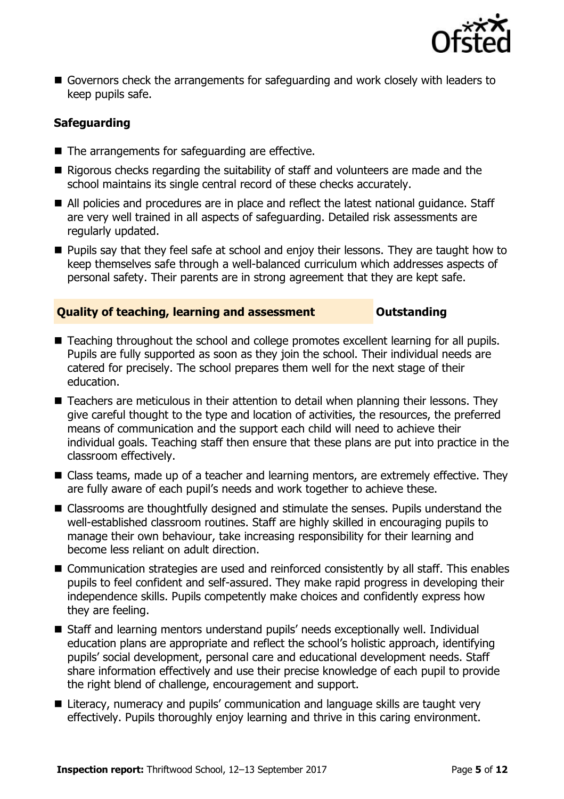

 Governors check the arrangements for safeguarding and work closely with leaders to keep pupils safe.

### **Safeguarding**

- The arrangements for safeguarding are effective.
- Rigorous checks regarding the suitability of staff and volunteers are made and the school maintains its single central record of these checks accurately.
- All policies and procedures are in place and reflect the latest national guidance. Staff are very well trained in all aspects of safeguarding. Detailed risk assessments are regularly updated.
- **Pupils say that they feel safe at school and enjoy their lessons. They are taught how to** keep themselves safe through a well-balanced curriculum which addresses aspects of personal safety. Their parents are in strong agreement that they are kept safe.

### **Quality of teaching, learning and assessment Outstanding**

- Teaching throughout the school and college promotes excellent learning for all pupils. Pupils are fully supported as soon as they join the school. Their individual needs are catered for precisely. The school prepares them well for the next stage of their education.
- Teachers are meticulous in their attention to detail when planning their lessons. They give careful thought to the type and location of activities, the resources, the preferred means of communication and the support each child will need to achieve their individual goals. Teaching staff then ensure that these plans are put into practice in the classroom effectively.
- Class teams, made up of a teacher and learning mentors, are extremely effective. They are fully aware of each pupil's needs and work together to achieve these.
- Classrooms are thoughtfully designed and stimulate the senses. Pupils understand the well-established classroom routines. Staff are highly skilled in encouraging pupils to manage their own behaviour, take increasing responsibility for their learning and become less reliant on adult direction.
- Communication strategies are used and reinforced consistently by all staff. This enables pupils to feel confident and self-assured. They make rapid progress in developing their independence skills. Pupils competently make choices and confidently express how they are feeling.
- Staff and learning mentors understand pupils' needs exceptionally well. Individual education plans are appropriate and reflect the school's holistic approach, identifying pupils' social development, personal care and educational development needs. Staff share information effectively and use their precise knowledge of each pupil to provide the right blend of challenge, encouragement and support.
- Literacy, numeracy and pupils' communication and language skills are taught very effectively. Pupils thoroughly enjoy learning and thrive in this caring environment.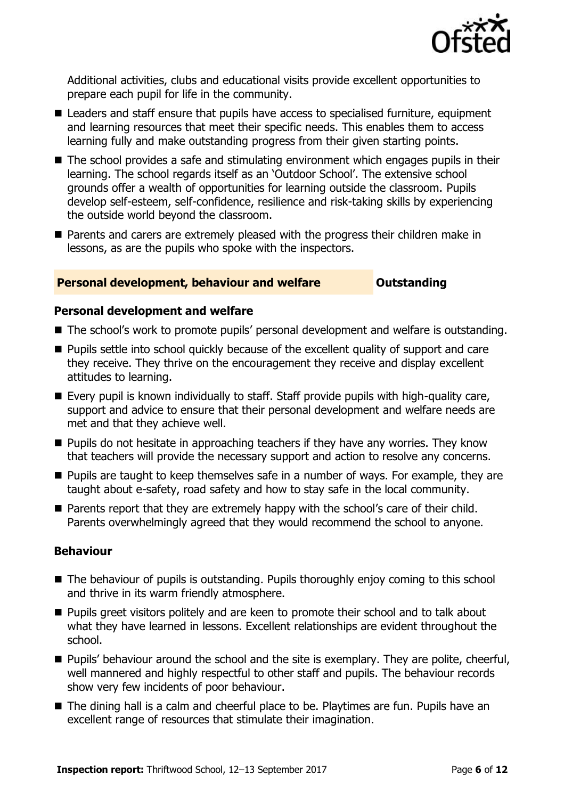

Additional activities, clubs and educational visits provide excellent opportunities to prepare each pupil for life in the community.

- Leaders and staff ensure that pupils have access to specialised furniture, equipment and learning resources that meet their specific needs. This enables them to access learning fully and make outstanding progress from their given starting points.
- The school provides a safe and stimulating environment which engages pupils in their learning. The school regards itself as an 'Outdoor School'. The extensive school grounds offer a wealth of opportunities for learning outside the classroom. Pupils develop self-esteem, self-confidence, resilience and risk-taking skills by experiencing the outside world beyond the classroom.
- **Parents and carers are extremely pleased with the progress their children make in** lessons, as are the pupils who spoke with the inspectors.

### **Personal development, behaviour and welfare <b>COUNGIST** Dutstanding

#### **Personal development and welfare**

- The school's work to promote pupils' personal development and welfare is outstanding.
- **Pupils settle into school quickly because of the excellent quality of support and care** they receive. They thrive on the encouragement they receive and display excellent attitudes to learning.
- Every pupil is known individually to staff. Staff provide pupils with high-quality care, support and advice to ensure that their personal development and welfare needs are met and that they achieve well.
- **Pupils do not hesitate in approaching teachers if they have any worries. They know** that teachers will provide the necessary support and action to resolve any concerns.
- **Pupils are taught to keep themselves safe in a number of ways. For example, they are** taught about e-safety, road safety and how to stay safe in the local community.
- Parents report that they are extremely happy with the school's care of their child. Parents overwhelmingly agreed that they would recommend the school to anyone.

#### **Behaviour**

- The behaviour of pupils is outstanding. Pupils thoroughly enjoy coming to this school and thrive in its warm friendly atmosphere.
- **Pupils greet visitors politely and are keen to promote their school and to talk about** what they have learned in lessons. Excellent relationships are evident throughout the school.
- **Pupils' behaviour around the school and the site is exemplary. They are polite, cheerful,** well mannered and highly respectful to other staff and pupils. The behaviour records show very few incidents of poor behaviour.
- The dining hall is a calm and cheerful place to be. Playtimes are fun. Pupils have an excellent range of resources that stimulate their imagination.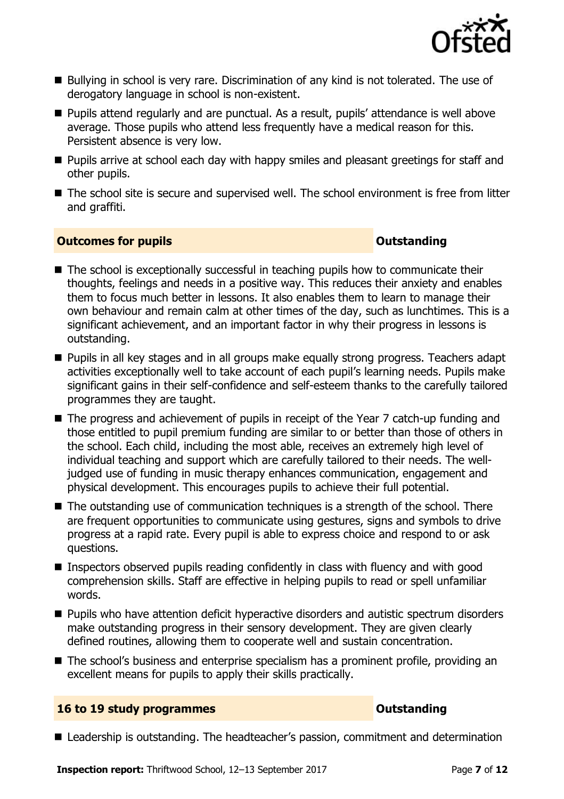

- Bullying in school is very rare. Discrimination of any kind is not tolerated. The use of derogatory language in school is non-existent.
- **Pupils attend regularly and are punctual. As a result, pupils' attendance is well above** average. Those pupils who attend less frequently have a medical reason for this. Persistent absence is very low.
- **Pupils arrive at school each day with happy smiles and pleasant greetings for staff and** other pupils.
- The school site is secure and supervised well. The school environment is free from litter and graffiti.

### **Outcomes for pupils Outstanding**

- The school is exceptionally successful in teaching pupils how to communicate their thoughts, feelings and needs in a positive way. This reduces their anxiety and enables them to focus much better in lessons. It also enables them to learn to manage their own behaviour and remain calm at other times of the day, such as lunchtimes. This is a significant achievement, and an important factor in why their progress in lessons is outstanding.
- **Pupils in all key stages and in all groups make equally strong progress. Teachers adapt** activities exceptionally well to take account of each pupil's learning needs. Pupils make significant gains in their self-confidence and self-esteem thanks to the carefully tailored programmes they are taught.
- The progress and achievement of pupils in receipt of the Year 7 catch-up funding and those entitled to pupil premium funding are similar to or better than those of others in the school. Each child, including the most able, receives an extremely high level of individual teaching and support which are carefully tailored to their needs. The welljudged use of funding in music therapy enhances communication, engagement and physical development. This encourages pupils to achieve their full potential.
- $\blacksquare$  The outstanding use of communication techniques is a strength of the school. There are frequent opportunities to communicate using gestures, signs and symbols to drive progress at a rapid rate. Every pupil is able to express choice and respond to or ask questions.
- Inspectors observed pupils reading confidently in class with fluency and with good comprehension skills. Staff are effective in helping pupils to read or spell unfamiliar words.
- **Pupils who have attention deficit hyperactive disorders and autistic spectrum disorders** make outstanding progress in their sensory development. They are given clearly defined routines, allowing them to cooperate well and sustain concentration.
- The school's business and enterprise specialism has a prominent profile, providing an excellent means for pupils to apply their skills practically.

#### **16 to 19 study programmes CONSTANDING CONSTANDING CONSTANDING**

■ Leadership is outstanding. The headteacher's passion, commitment and determination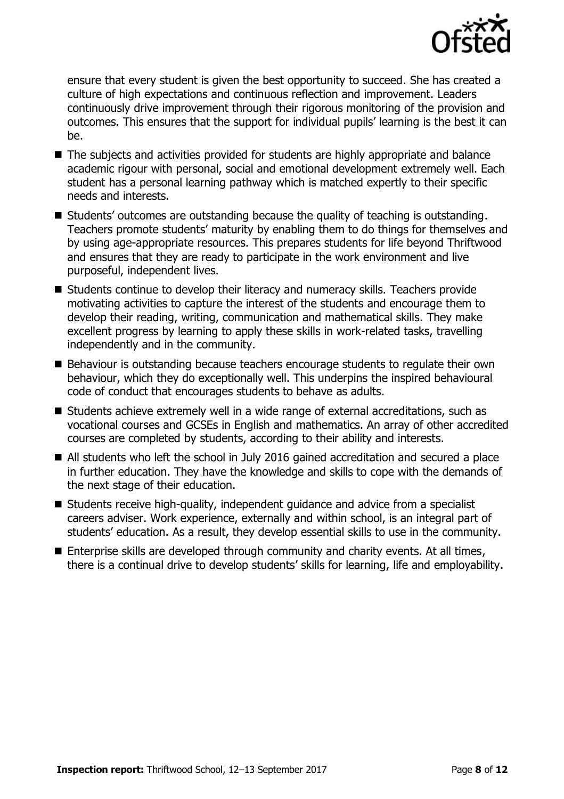

ensure that every student is given the best opportunity to succeed. She has created a culture of high expectations and continuous reflection and improvement. Leaders continuously drive improvement through their rigorous monitoring of the provision and outcomes. This ensures that the support for individual pupils' learning is the best it can be.

- The subjects and activities provided for students are highly appropriate and balance academic rigour with personal, social and emotional development extremely well. Each student has a personal learning pathway which is matched expertly to their specific needs and interests.
- Students' outcomes are outstanding because the quality of teaching is outstanding. Teachers promote students' maturity by enabling them to do things for themselves and by using age-appropriate resources. This prepares students for life beyond Thriftwood and ensures that they are ready to participate in the work environment and live purposeful, independent lives.
- Students continue to develop their literacy and numeracy skills. Teachers provide motivating activities to capture the interest of the students and encourage them to develop their reading, writing, communication and mathematical skills. They make excellent progress by learning to apply these skills in work-related tasks, travelling independently and in the community.
- Behaviour is outstanding because teachers encourage students to regulate their own behaviour, which they do exceptionally well. This underpins the inspired behavioural code of conduct that encourages students to behave as adults.
- Students achieve extremely well in a wide range of external accreditations, such as vocational courses and GCSEs in English and mathematics. An array of other accredited courses are completed by students, according to their ability and interests.
- All students who left the school in July 2016 gained accreditation and secured a place in further education. They have the knowledge and skills to cope with the demands of the next stage of their education.
- Students receive high-quality, independent quidance and advice from a specialist careers adviser. Work experience, externally and within school, is an integral part of students' education. As a result, they develop essential skills to use in the community.
- Enterprise skills are developed through community and charity events. At all times, there is a continual drive to develop students' skills for learning, life and employability.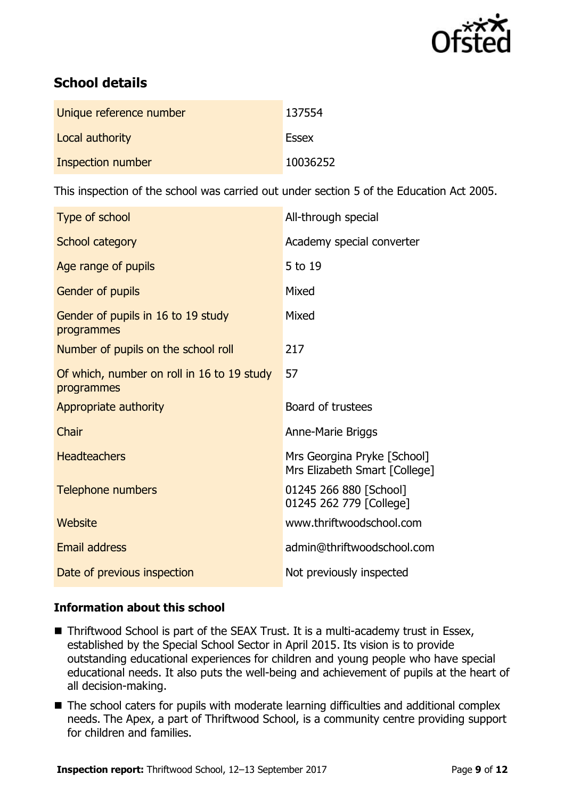

# **School details**

| Unique reference number | 137554   |
|-------------------------|----------|
| Local authority         | Essex    |
| Inspection number       | 10036252 |

This inspection of the school was carried out under section 5 of the Education Act 2005.

| Type of school                                           | All-through special                                          |
|----------------------------------------------------------|--------------------------------------------------------------|
| School category                                          | Academy special converter                                    |
| Age range of pupils                                      | 5 to 19                                                      |
| Gender of pupils                                         | Mixed                                                        |
| Gender of pupils in 16 to 19 study<br>programmes         | Mixed                                                        |
| Number of pupils on the school roll                      | 217                                                          |
| Of which, number on roll in 16 to 19 study<br>programmes | 57                                                           |
| Appropriate authority                                    | Board of trustees                                            |
| Chair                                                    | <b>Anne-Marie Briggs</b>                                     |
| <b>Headteachers</b>                                      | Mrs Georgina Pryke [School]<br>Mrs Elizabeth Smart [College] |
| <b>Telephone numbers</b>                                 | 01245 266 880 [School]<br>01245 262 779 [College]            |
| <b>Website</b>                                           | www.thriftwoodschool.com                                     |
| <b>Email address</b>                                     | admin@thriftwoodschool.com                                   |
| Date of previous inspection                              | Not previously inspected                                     |

### **Information about this school**

- Thriftwood School is part of the SEAX Trust. It is a multi-academy trust in Essex, established by the Special School Sector in April 2015. Its vision is to provide outstanding educational experiences for children and young people who have special educational needs. It also puts the well-being and achievement of pupils at the heart of all decision-making.
- The school caters for pupils with moderate learning difficulties and additional complex needs. The Apex, a part of Thriftwood School, is a community centre providing support for children and families.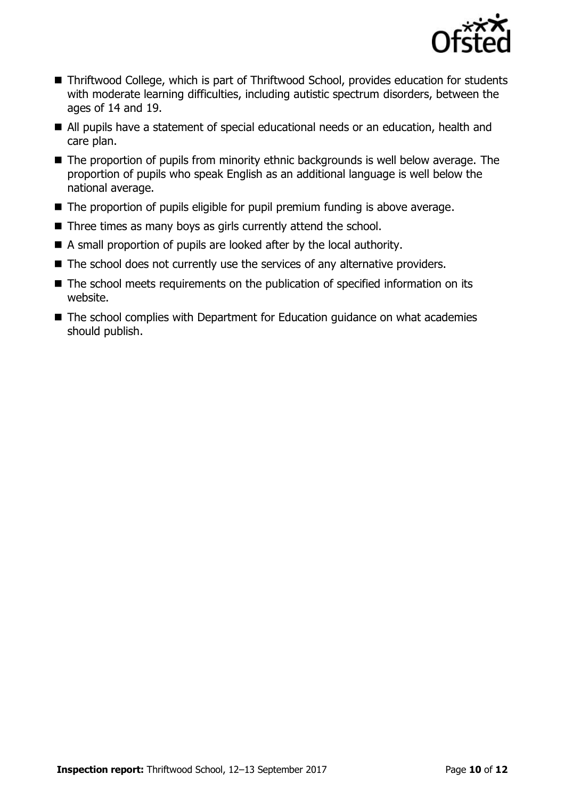

- Thriftwood College, which is part of Thriftwood School, provides education for students with moderate learning difficulties, including autistic spectrum disorders, between the ages of 14 and 19.
- All pupils have a statement of special educational needs or an education, health and care plan.
- The proportion of pupils from minority ethnic backgrounds is well below average. The proportion of pupils who speak English as an additional language is well below the national average.
- The proportion of pupils eligible for pupil premium funding is above average.
- Three times as many boys as girls currently attend the school.
- A small proportion of pupils are looked after by the local authority.
- The school does not currently use the services of any alternative providers.
- The school meets requirements on the publication of specified information on its website.
- The school complies with Department for Education guidance on what academies should publish.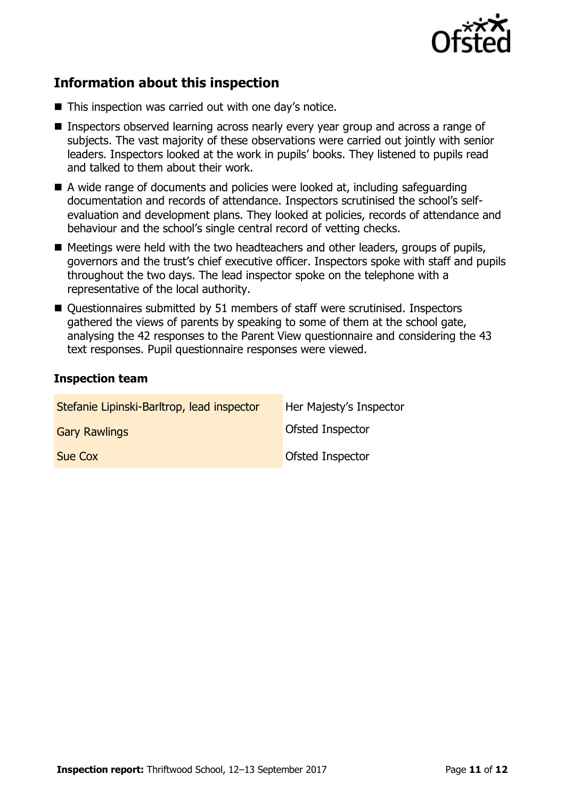

# **Information about this inspection**

- This inspection was carried out with one day's notice.
- Inspectors observed learning across nearly every year group and across a range of subjects. The vast majority of these observations were carried out jointly with senior leaders. Inspectors looked at the work in pupils' books. They listened to pupils read and talked to them about their work.
- A wide range of documents and policies were looked at, including safeguarding documentation and records of attendance. Inspectors scrutinised the school's selfevaluation and development plans. They looked at policies, records of attendance and behaviour and the school's single central record of vetting checks.
- Meetings were held with the two headteachers and other leaders, groups of pupils, governors and the trust's chief executive officer. Inspectors spoke with staff and pupils throughout the two days. The lead inspector spoke on the telephone with a representative of the local authority.
- Ouestionnaires submitted by 51 members of staff were scrutinised. Inspectors gathered the views of parents by speaking to some of them at the school gate, analysing the 42 responses to the Parent View questionnaire and considering the 43 text responses. Pupil questionnaire responses were viewed.

### **Inspection team**

| Stefanie Lipinski-Barltrop, lead inspector | Her Majesty's Inspector |
|--------------------------------------------|-------------------------|
| <b>Gary Rawlings</b>                       | Ofsted Inspector        |
| Sue Cox                                    | Ofsted Inspector        |